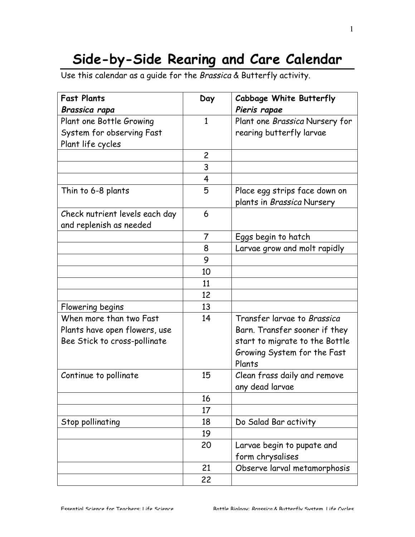## **Side-by-Side Rearing and Care Calendar**

Use this calendar as a guide for the Brassica & Butterfly activity.

| <b>Fast Plants</b>             | Day            | <b>Cabbage White Butterfly</b> |
|--------------------------------|----------------|--------------------------------|
| Brassica rapa                  |                | Pieris rapae                   |
| Plant one Bottle Growing       | $\mathbf{1}$   | Plant one Brassica Nursery for |
| System for observing Fast      |                | rearing butterfly larvae       |
| Plant life cycles              |                |                                |
|                                | $\overline{c}$ |                                |
|                                | 3              |                                |
|                                | 4              |                                |
| Thin to 6-8 plants             | 5              | Place egg strips face down on  |
|                                |                | plants in Brassica Nursery     |
| Check nutrient levels each day | 6              |                                |
| and replenish as needed        |                |                                |
|                                | 7              | Eggs begin to hatch            |
|                                | 8              | Larvae grow and molt rapidly   |
|                                | 9              |                                |
|                                | 10             |                                |
|                                | 11             |                                |
|                                | 12             |                                |
| Flowering begins               | 13             |                                |
| When more than two Fast        | 14             | Transfer larvae to Brassica    |
| Plants have open flowers, use  |                | Barn. Transfer sooner if they  |
| Bee Stick to cross-pollinate   |                | start to migrate to the Bottle |
|                                |                | Growing System for the Fast    |
|                                |                | Plants                         |
| Continue to pollinate          | 15             | Clean frass daily and remove   |
|                                |                | any dead larvae                |
|                                | 16             |                                |
|                                | 17             |                                |
| Stop pollinating               | 18             | Do Salad Bar activity          |
|                                | 19             |                                |
|                                | 20             | Larvae begin to pupate and     |
|                                |                | form chrysalises               |
|                                | 21             | Observe larval metamorphosis   |
|                                | 22             |                                |